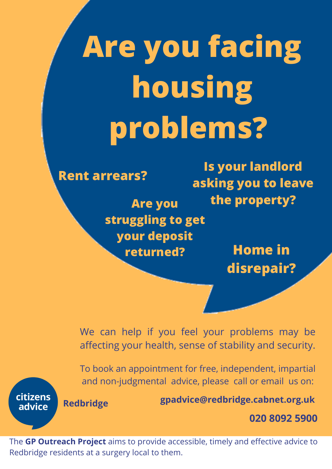## **Are you facing housing problems?**

**Rent arrears? Are you**

citizens

advice

**Is your landlord asking you to leave the property? struggling to get your deposit**

**Home in disrepair?**



We can help if you feel your problems may be affecting your health, sense of stability and security.

**020 8092 5900 gpadvice@redbridge.cabnet.org.uk** To book an appointment for free, independent, impartial and non-judgmental advice, please call or email us on: **Redbridge**

The **GP Outreach Project** aims to provide accessible, timely and effective advice to Redbridge residents at a surgery local to them.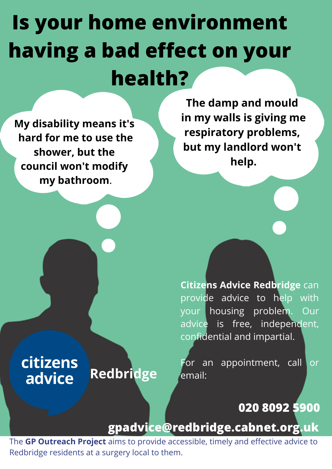## **Is your home environment having a bad effect on your health?**

**The damp and mould in my walls is giving me respiratory problems, but my landlord won't help.**

**My disability means it's hard for me to use the shower, but the council won't modify my bathroom**.

citizens

advice

**Citizens Advice Redbridge** can provide advice to help with your housing problem. Our advice is free, independent, confidential and impartial.

For an appointment, call or email:

**020 8092 5900**

## **gpadvice@redbridge.cabnet.org.uk**

**Redbridge**

The **GP Outreach Project** aims to provide accessible, timely and effective advice to Redbridge residents at a surgery local to them.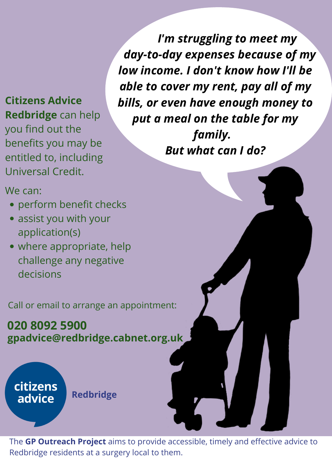challenge any negative decisions

We can:

- perform benefit checks
- assist you with your application(s)
- where appropriate, help

**gpadvice@redbridge.cabnet.org.uk 020 8092 5900**

citizens **Redbridge** advice

*I'm struggling to meet my day-to-day expenses because of my low income. I don't know how I'll be able to cover my rent, pay all of my bills, or even have enough money to put a meal on the table for my family. But what can I do?*

**Citizens Advice Redbridge** can help you find out the benefits you may be entitled to, including Universal Credit.

The **GP Outreach Project** aims to provide accessible, timely and effective advice to Redbridge residents at a surgery local to them.

Call or email to arrange an appointment: